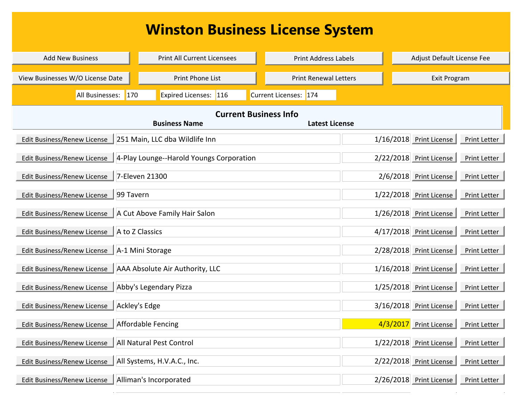## **Winston Business License System**

| <b>Add New Business</b>          | <b>Print All Current Licensees</b>       | <b>Print Address Labels</b>  | Adjust Default License Fee                       |
|----------------------------------|------------------------------------------|------------------------------|--------------------------------------------------|
|                                  |                                          |                              |                                                  |
| View Businesses W/O License Date | Print Phone List                         | <b>Print Renewal Letters</b> | <b>Exit Program</b>                              |
| All Businesses:                  | $\vert$ 170<br>Expired Licenses: 116     | Current Licenses: 174        |                                                  |
|                                  |                                          | <b>Current Business Info</b> |                                                  |
|                                  | <b>Business Name</b>                     | <b>Latest License</b>        |                                                  |
| Edit Business/Renew License      | 251 Main, LLC dba Wildlife Inn           |                              | 1/16/2018 Print License<br>Print Letter          |
| Edit Business/Renew License      | 4-Play Lounge--Harold Youngs Corporation |                              | 2/22/2018 Print License<br>Print Letter          |
| Edit Business/Renew License      | 7-Eleven 21300                           |                              | Print Letter<br>2/6/2018 Print License           |
| Edit Business/Renew License      | 99 Tavern                                |                              | Print Letter<br>1/22/2018 Print License          |
| Edit Business/Renew License      | A Cut Above Family Hair Salon            |                              | Print Letter<br>1/26/2018 Print License          |
| Edit Business/Renew License      | A to Z Classics                          |                              | 4/17/2018 Print License<br>Print Letter          |
| Edit Business/Renew License      | A-1 Mini Storage                         |                              | 2/28/2018 Print License<br>Print Letter          |
| Edit Business/Renew License      | AAA Absolute Air Authority, LLC          |                              | 1/16/2018 Print License<br>Print Letter          |
| Edit Business/Renew License      | Abby's Legendary Pizza                   |                              | Print Letter<br>1/25/2018 Print License          |
| Edit Business/Renew License      | Ackley's Edge                            |                              | 3/16/2018 Print License<br>Print Letter          |
| Edit Business/Renew License      | Affordable Fencing                       |                              | 4/3/2017<br><b>Print License</b><br>Print Letter |
| Edit Business/Renew License      | All Natural Pest Control                 |                              | 1/22/2018 Print License<br>Print Letter          |
| Edit Business/Renew License      | All Systems, H.V.A.C., Inc.              |                              | 2/22/2018 Print License<br>Print Letter          |
| Edit Business/Renew License      | Alliman's Incorporated                   |                              | 2/26/2018 Print License<br>Print Letter          |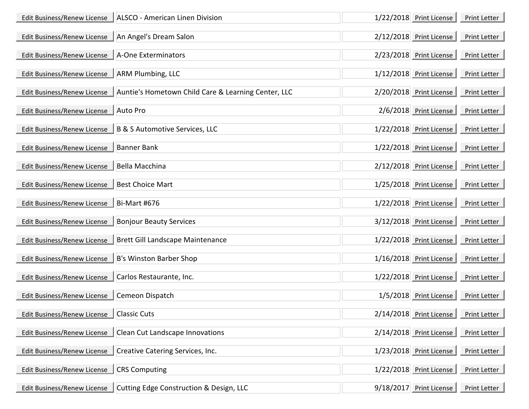| Edit Business/Renew License | ALSCO - American Linen Division                     | 1/22/2018 Print License    | Print Letter |
|-----------------------------|-----------------------------------------------------|----------------------------|--------------|
| Edit Business/Renew License | An Angel's Dream Salon                              | 2/12/2018 Print License    | Print Letter |
| Edit Business/Renew License | A-One Exterminators                                 | 2/23/2018 Print License    | Print Letter |
| Edit Business/Renew License | <b>ARM Plumbing, LLC</b>                            | 1/12/2018 Print License    | Print Letter |
| Edit Business/Renew License | Auntie's Hometown Child Care & Learning Center, LLC | 2/20/2018 Print License    | Print Letter |
| Edit Business/Renew License | <b>Auto Pro</b>                                     | 2/6/2018 Print License     | Print Letter |
| Edit Business/Renew License | B & S Automotive Services, LLC                      | 1/22/2018 Print License    | Print Letter |
| Edit Business/Renew License | <b>Banner Bank</b>                                  | 1/22/2018 Print License    | Print Letter |
| Edit Business/Renew License | <b>Bella Macchina</b>                               | 2/12/2018 Print License    | Print Letter |
| Edit Business/Renew License | <b>Best Choice Mart</b>                             | 1/25/2018 Print License    | Print Letter |
| Edit Business/Renew License | <b>Bi-Mart #676</b>                                 | 1/22/2018 Print License    | Print Letter |
| Edit Business/Renew License | <b>Bonjour Beauty Services</b>                      | 3/12/2018 Print License    | Print Letter |
| Edit Business/Renew License | Brett Gill Landscape Maintenance                    | 1/22/2018 Print License    | Print Letter |
| Edit Business/Renew License | B's Winston Barber Shop                             | 1/16/2018 Print License    | Print Letter |
| Edit Business/Renew License | Carlos Restaurante, Inc.                            | 1/22/2018 Print License    | Print Letter |
| Edit Business/Renew License | Cemeon Dispatch                                     | 1/5/2018 Print License     | Print Letter |
| Edit Business/Renew License | <b>Classic Cuts</b>                                 | 2/14/2018 Print License    | Print Letter |
| Edit Business/Renew License | Clean Cut Landscape Innovations                     | 2/14/2018    Print License | Print Letter |
| Edit Business/Renew License | Creative Catering Services, Inc.                    | 1/23/2018 Print License    | Print Letter |
| Edit Business/Renew License | <b>CRS Computing</b>                                | 1/22/2018 Print License    | Print Letter |
| Edit Business/Renew License | Cutting Edge Construction & Design, LLC             | 9/18/2017 Print License    | Print Letter |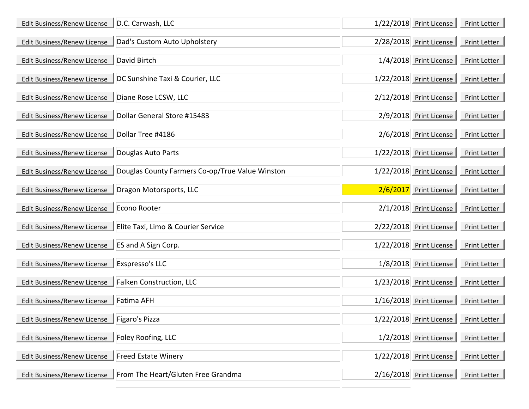| Edit Business/Renew License | D.C. Carwash, LLC                               | 1/22/2018 Print License   | Print Letter |
|-----------------------------|-------------------------------------------------|---------------------------|--------------|
| Edit Business/Renew License | Dad's Custom Auto Upholstery                    | 2/28/2018 Print License   | Print Letter |
| Edit Business/Renew License | David Birtch                                    | 1/4/2018 Print License    | Print Letter |
| Edit Business/Renew License | DC Sunshine Taxi & Courier, LLC                 | 1/22/2018 Print License   | Print Letter |
| Edit Business/Renew License | Diane Rose LCSW, LLC                            | 2/12/2018 Print License   | Print Letter |
| Edit Business/Renew License | Dollar General Store #15483                     | 2/9/2018 Print License    | Print Letter |
| Edit Business/Renew License | Dollar Tree #4186                               | 2/6/2018 Print License    | Print Letter |
| Edit Business/Renew License | Douglas Auto Parts                              | 1/22/2018 Print License   | Print Letter |
| Edit Business/Renew License | Douglas County Farmers Co-op/True Value Winston | 1/22/2018 Print License   | Print Letter |
| Edit Business/Renew License | Dragon Motorsports, LLC                         | 2/6/2017 Print License    | Print Letter |
| Edit Business/Renew License | Econo Rooter                                    | 2/1/2018 Print License    | Print Letter |
| Edit Business/Renew License | Elite Taxi, Limo & Courier Service              | 2/22/2018 Print License   | Print Letter |
| Edit Business/Renew License | ES and A Sign Corp.                             | 1/22/2018 Print License   | Print Letter |
| Edit Business/Renew License | Exspresso's LLC                                 | 1/8/2018 Print License    | Print Letter |
| Edit Business/Renew License | <b>Falken Construction, LLC</b>                 | $1/23/2018$ Print License | Print Letter |
| Edit Business/Renew License | <b>Fatima AFH</b>                               | 1/16/2018 Print License   | Print Letter |
| Edit Business/Renew License | Figaro's Pizza                                  | 1/22/2018 Print License   | Print Letter |
| Edit Business/Renew License | Foley Roofing, LLC                              | $1/2/2018$ Print License  | Print Letter |
| Edit Business/Renew License | <b>Freed Estate Winery</b>                      | 1/22/2018 Print License   | Print Letter |
| Edit Business/Renew License | From The Heart/Gluten Free Grandma              | 2/16/2018 Print License   | Print Letter |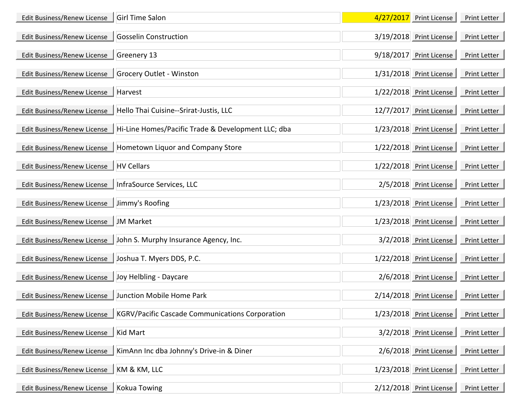| Edit Business/Renew License | <b>Girl Time Salon</b>                                 | 4/27/2017 Print License  | Print Letter |
|-----------------------------|--------------------------------------------------------|--------------------------|--------------|
| Edit Business/Renew License | <b>Gosselin Construction</b>                           | 3/19/2018 Print License  | Print Letter |
| Edit Business/Renew License | Greenery 13                                            | 9/18/2017 Print License  | Print Letter |
| Edit Business/Renew License | Grocery Outlet - Winston                               | 1/31/2018 Print License  | Print Letter |
| Edit Business/Renew License | Harvest                                                | 1/22/2018 Print License  | Print Letter |
| Edit Business/Renew License | Hello Thai Cuisine--Srirat-Justis, LLC                 | 12/7/2017 Print License  | Print Letter |
| Edit Business/Renew License | Hi-Line Homes/Pacific Trade & Development LLC; dba     | 1/23/2018 Print License  | Print Letter |
| Edit Business/Renew License | Hometown Liquor and Company Store                      | 1/22/2018 Print License  | Print Letter |
| Edit Business/Renew License | <b>HV Cellars</b>                                      | 1/22/2018 Print License  | Print Letter |
| Edit Business/Renew License | InfraSource Services, LLC                              | $2/5/2018$ Print License | Print Letter |
| Edit Business/Renew License | Jimmy's Roofing                                        | 1/23/2018 Print License  | Print Letter |
| Edit Business/Renew License | <b>JM Market</b>                                       | 1/23/2018 Print License  | Print Letter |
| Edit Business/Renew License | John S. Murphy Insurance Agency, Inc.                  | 3/2/2018 Print License   | Print Letter |
| Edit Business/Renew License | Joshua T. Myers DDS, P.C.                              | 1/22/2018 Print License  | Print Letter |
| Edit Business/Renew License | Joy Helbling - Daycare                                 | 2/6/2018 Print License   | Print Letter |
| Edit Business/Renew License | Junction Mobile Home Park                              | 2/14/2018 Print License  | Print Letter |
| Edit Business/Renew License | <b>KGRV/Pacific Cascade Communications Corporation</b> | 1/23/2018 Print License  | Print Letter |
| Edit Business/Renew License | Kid Mart                                               | 3/2/2018 Print License   | Print Letter |
| Edit Business/Renew License | KimAnn Inc dba Johnny's Drive-in & Diner               | 2/6/2018 Print License   | Print Letter |
| Edit Business/Renew License | KM & KM, LLC                                           | 1/23/2018 Print License  | Print Letter |
| Edit Business/Renew License | <b>Kokua Towing</b>                                    | 2/12/2018 Print License  | Print Letter |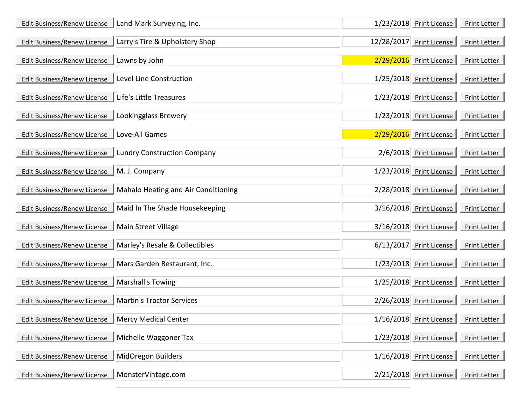| Edit Business/Renew License | Land Mark Surveying, Inc.           | 1/23/2018 Print License  | Print Letter |
|-----------------------------|-------------------------------------|--------------------------|--------------|
| Edit Business/Renew License | Larry's Tire & Upholstery Shop      | 12/28/2017 Print License | Print Letter |
| Edit Business/Renew License | Lawns by John                       | 2/29/2016 Print License  | Print Letter |
| Edit Business/Renew License | Level Line Construction             | 1/25/2018 Print License  | Print Letter |
| Edit Business/Renew License | Life's Little Treasures             | 1/23/2018 Print License  | Print Letter |
| Edit Business/Renew License | Lookingglass Brewery                | 1/23/2018 Print License  | Print Letter |
| Edit Business/Renew License | Love-All Games                      | 2/29/2016 Print License  | Print Letter |
| Edit Business/Renew License | <b>Lundry Construction Company</b>  | 2/6/2018 Print License   | Print Letter |
| Edit Business/Renew License | M. J. Company                       | 1/23/2018 Print License  | Print Letter |
| Edit Business/Renew License | Mahalo Heating and Air Conditioning | 2/28/2018 Print License  | Print Letter |
| Edit Business/Renew License | Maid In The Shade Housekeeping      | 3/16/2018 Print License  | Print Letter |
| Edit Business/Renew License | <b>Main Street Village</b>          | 3/16/2018 Print License  | Print Letter |
| Edit Business/Renew License | Marley's Resale & Collectibles      | 6/13/2017 Print License  | Print Letter |
| Edit Business/Renew License | Mars Garden Restaurant, Inc.        | 1/23/2018 Print License  | Print Letter |
| Edit Business/Renew License | Marshall's Towing                   | 1/25/2018 Print License  | Print Letter |
| Edit Business/Renew License | <b>Martin's Tractor Services</b>    | 2/26/2018 Print License  | Print Letter |
| Edit Business/Renew License | <b>Mercy Medical Center</b>         | 1/16/2018 Print License  | Print Letter |
| Edit Business/Renew License | Michelle Waggoner Tax               | 1/23/2018 Print License  | Print Letter |
| Edit Business/Renew License | MidOregon Builders                  | 1/16/2018 Print License  | Print Letter |
| Edit Business/Renew License | MonsterVintage.com                  | 2/21/2018 Print License  | Print Letter |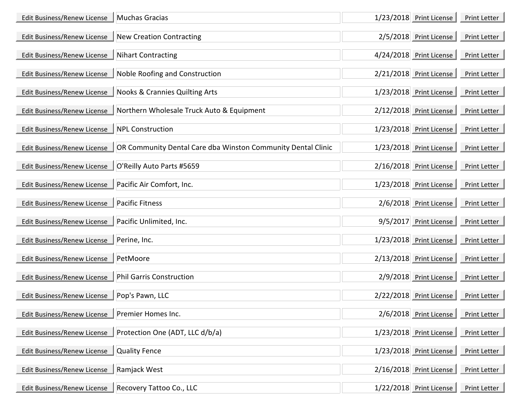| Edit Business/Renew License | <b>Muchas Gracias</b>                                        | 1/23/2018 Print License   | Print Letter |
|-----------------------------|--------------------------------------------------------------|---------------------------|--------------|
| Edit Business/Renew License | <b>New Creation Contracting</b>                              | 2/5/2018 Print License    | Print Letter |
| Edit Business/Renew License | <b>Nihart Contracting</b>                                    | 4/24/2018 Print License   | Print Letter |
| Edit Business/Renew License | Noble Roofing and Construction                               | 2/21/2018 Print License   | Print Letter |
| Edit Business/Renew License | <b>Nooks &amp; Crannies Quilting Arts</b>                    | 1/23/2018 Print License   | Print Letter |
| Edit Business/Renew License | Northern Wholesale Truck Auto & Equipment                    | 2/12/2018 Print License   | Print Letter |
| Edit Business/Renew License | <b>NPL Construction</b>                                      | 1/23/2018 Print License   | Print Letter |
| Edit Business/Renew License | OR Community Dental Care dba Winston Community Dental Clinic | 1/23/2018 Print License   | Print Letter |
| Edit Business/Renew License | O'Reilly Auto Parts #5659                                    | 2/16/2018 Print License   | Print Letter |
| Edit Business/Renew License | Pacific Air Comfort, Inc.                                    | 1/23/2018 Print License   | Print Letter |
| Edit Business/Renew License | <b>Pacific Fitness</b>                                       | 2/6/2018 Print License    | Print Letter |
| Edit Business/Renew License | Pacific Unlimited, Inc.                                      | 9/5/2017 Print License    | Print Letter |
| Edit Business/Renew License | Perine, Inc.                                                 | $1/23/2018$ Print License | Print Letter |
| Edit Business/Renew License | PetMoore                                                     | 2/13/2018 Print License   | Print Letter |
| Edit Business/Renew License | <b>Phil Garris Construction</b>                              | 2/9/2018 Print License    | Print Letter |
| Edit Business/Renew License | Pop's Pawn, LLC                                              | 2/22/2018 Print License   | Print Letter |
| Edit Business/Renew License | Premier Homes Inc.                                           | 2/6/2018 Print License    | Print Letter |
| Edit Business/Renew License | Protection One (ADT, LLC d/b/a)                              | 1/23/2018 Print License   | Print Letter |
| Edit Business/Renew License | <b>Quality Fence</b>                                         | 1/23/2018 Print License   | Print Letter |
| Edit Business/Renew License | Ramjack West                                                 | 2/16/2018 Print License   | Print Letter |
| Edit Business/Renew License | Recovery Tattoo Co., LLC                                     | 1/22/2018 Print License   | Print Letter |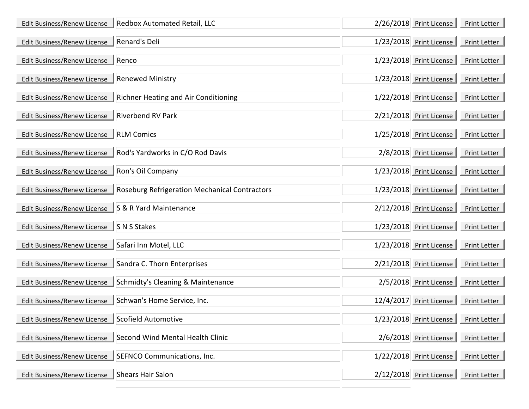| Edit Business/Renew License | Redbox Automated Retail, LLC                  | 2/26/2018 Print License  | Print Letter |
|-----------------------------|-----------------------------------------------|--------------------------|--------------|
| Edit Business/Renew License | Renard's Deli                                 | 1/23/2018 Print License  | Print Letter |
| Edit Business/Renew License | Renco                                         | 1/23/2018 Print License  | Print Letter |
| Edit Business/Renew License | <b>Renewed Ministry</b>                       | 1/23/2018 Print License  | Print Letter |
| Edit Business/Renew License | <b>Richner Heating and Air Conditioning</b>   | 1/22/2018 Print License  | Print Letter |
| Edit Business/Renew License | <b>Riverbend RV Park</b>                      | 2/21/2018 Print License  | Print Letter |
| Edit Business/Renew License | <b>RLM Comics</b>                             | 1/25/2018 Print License  | Print Letter |
| Edit Business/Renew License | Rod's Yardworks in C/O Rod Davis              | 2/8/2018 Print License   | Print Letter |
| Edit Business/Renew License | Ron's Oil Company                             | 1/23/2018 Print License  | Print Letter |
| Edit Business/Renew License | Roseburg Refrigeration Mechanical Contractors | 1/23/2018 Print License  | Print Letter |
| Edit Business/Renew License | S & R Yard Maintenance                        | 2/12/2018 Print License  | Print Letter |
| Edit Business/Renew License | S N S Stakes                                  | 1/23/2018 Print License  | Print Letter |
| Edit Business/Renew License | Safari Inn Motel, LLC                         | 1/23/2018 Print License  | Print Letter |
| Edit Business/Renew License | Sandra C. Thorn Enterprises                   | 2/21/2018 Print License  | Print Letter |
| Edit Business/Renew License | Schmidty's Cleaning & Maintenance             | 2/5/2018 Print License   | Print Letter |
| Edit Business/Renew License | Schwan's Home Service, Inc.                   | 12/4/2017 Print License  | Print Letter |
| Edit Business/Renew License | Scofield Automotive                           | 1/23/2018 Print License  | Print Letter |
| Edit Business/Renew License | Second Wind Mental Health Clinic              | $2/6/2018$ Print License | Print Letter |
| Edit Business/Renew License | SEFNCO Communications, Inc.                   | 1/22/2018 Print License  | Print Letter |
| Edit Business/Renew License | <b>Shears Hair Salon</b>                      | 2/12/2018 Print License  | Print Letter |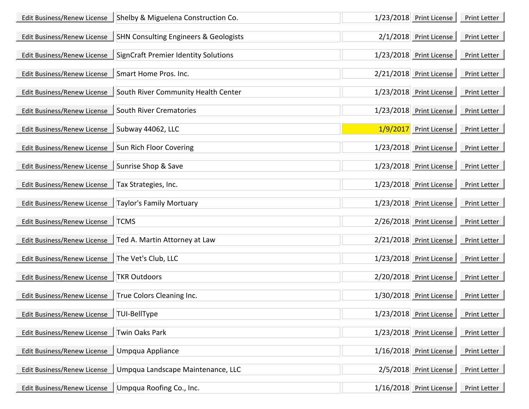| Edit Business/Renew License | Shelby & Miguelena Construction Co.              | 1/23/2018 Print License | Print Letter                                   |
|-----------------------------|--------------------------------------------------|-------------------------|------------------------------------------------|
| Edit Business/Renew License | <b>SHN Consulting Engineers &amp; Geologists</b> | 2/1/2018 Print License  | Print Letter                                   |
| Edit Business/Renew License | <b>SignCraft Premier Identity Solutions</b>      | 1/23/2018 Print License | Print Letter                                   |
| Edit Business/Renew License | Smart Home Pros. Inc.                            | 2/21/2018 Print License | Print Letter                                   |
| Edit Business/Renew License | South River Community Health Center              | 1/23/2018 Print License | Print Letter                                   |
| Edit Business/Renew License | South River Crematories                          | 1/23/2018 Print License | Print Letter                                   |
| Edit Business/Renew License | $\parallel$ Subway 44062, LLC                    | 1/9/2017 Print License  | Print Letter                                   |
| Edit Business/Renew License | Sun Rich Floor Covering                          | 1/23/2018 Print License | Print Letter                                   |
| Edit Business/Renew License | Sunrise Shop & Save                              | 1/23/2018 Print License | Print Letter                                   |
| Edit Business/Renew License | Tax Strategies, Inc.                             | 1/23/2018 Print License | Print Letter                                   |
| Edit Business/Renew License | <b>Taylor's Family Mortuary</b>                  | 1/23/2018 Print License | Print Letter                                   |
| Edit Business/Renew License | <b>TCMS</b>                                      | 2/26/2018 Print License | Print Letter                                   |
| Edit Business/Renew License | Ted A. Martin Attorney at Law                    | 2/21/2018 Print License | Print Letter                                   |
| Edit Business/Renew License | The Vet's Club, LLC                              | 1/23/2018 Print License | Print Letter                                   |
| Edit Business/Renew License | <b>TKR Outdoors</b>                              | 2/20/2018 Print License | Print Letter                                   |
| Edit Business/Renew License | True Colors Cleaning Inc.                        | 1/30/2018 Print License | Print Letter                                   |
| Edit Business/Renew License | <b>TUI-BellType</b>                              | 1/23/2018 Print License | and the company of the company<br>Print Letter |
| Edit Business/Renew License | <b>Twin Oaks Park</b>                            | 1/23/2018 Print License | Print Letter                                   |
| Edit Business/Renew License | <b>Umpqua Appliance</b>                          | 1/16/2018 Print License | Print Letter                                   |
| Edit Business/Renew License | Umpqua Landscape Maintenance, LLC                | 2/5/2018 Print License  | Print Letter                                   |
| Edit Business/Renew License | Umpqua Roofing Co., Inc.                         | 1/16/2018 Print License | Print Letter                                   |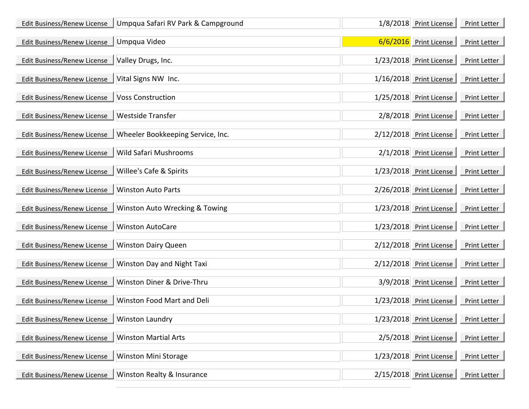| Edit Business/Renew License | Umpqua Safari RV Park & Campground | 1/8/2018 Print License   | Print Letter |
|-----------------------------|------------------------------------|--------------------------|--------------|
| Edit Business/Renew License | Umpqua Video                       | $6/6/2016$ Print License | Print Letter |
| Edit Business/Renew License | Valley Drugs, Inc.                 | 1/23/2018 Print License  | Print Letter |
| Edit Business/Renew License | Vital Signs NW Inc.                | 1/16/2018 Print License  | Print Letter |
| Edit Business/Renew License | <b>Voss Construction</b>           | 1/25/2018 Print License  | Print Letter |
| Edit Business/Renew License | <b>Westside Transfer</b>           | 2/8/2018 Print License   | Print Letter |
| Edit Business/Renew License | Wheeler Bookkeeping Service, Inc.  | 2/12/2018 Print License  | Print Letter |
| Edit Business/Renew License | <b>Wild Safari Mushrooms</b>       | 2/1/2018 Print License   | Print Letter |
| Edit Business/Renew License | Willee's Cafe & Spirits            | 1/23/2018 Print License  | Print Letter |
| Edit Business/Renew License | <b>Winston Auto Parts</b>          | 2/26/2018 Print License  | Print Letter |
| Edit Business/Renew License | Winston Auto Wrecking & Towing     | 1/23/2018 Print License  | Print Letter |
| Edit Business/Renew License | <b>Winston AutoCare</b>            | 1/23/2018 Print License  | Print Letter |
| Edit Business/Renew License | <b>Winston Dairy Queen</b>         | 2/12/2018 Print License  | Print Letter |
| Edit Business/Renew License | Winston Day and Night Taxi         | 2/12/2018 Print License  | Print Letter |
| Edit Business/Renew License | Winston Diner & Drive-Thru         | 3/9/2018 Print License   | Print Letter |
| Edit Business/Renew License | Winston Food Mart and Deli         | 1/23/2018 Print License  | Print Letter |
| Edit Business/Renew License | <b>Winston Laundry</b>             | 1/23/2018 Print License  | Print Letter |
| Edit Business/Renew License | <b>Winston Martial Arts</b>        | 2/5/2018 Print License   | Print Letter |
| Edit Business/Renew License | <b>Winston Mini Storage</b>        | 1/23/2018 Print License  | Print Letter |
| Edit Business/Renew License | Winston Realty & Insurance         | 2/15/2018 Print License  | Print Letter |